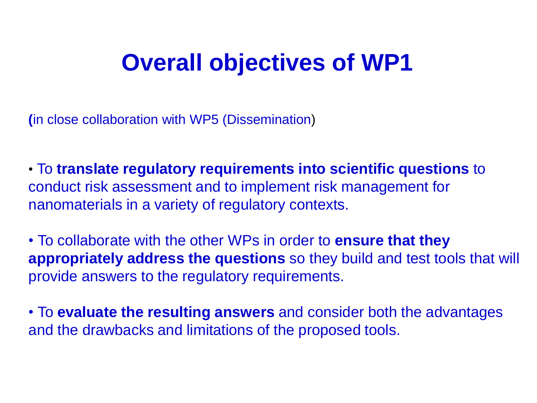#### **Overall objectives of WP1**

**(**in close collaboration with WP5 (Dissemination)

• To **translate regulatory requirements into scientific questions** to conduct risk assessment and to implement risk management for nanomaterials in a variety of regulatory contexts.

• To collaborate with the other WPs in order to **ensure that they appropriately address the questions** so they build and test tools that will provide answers to the regulatory requirements.

• To **evaluate the resulting answers** and consider both the advantages and the drawbacks and limitations of the proposed tools.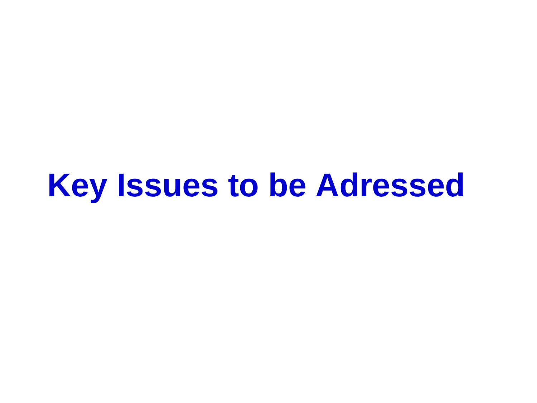# **Key Issues to be Adressed**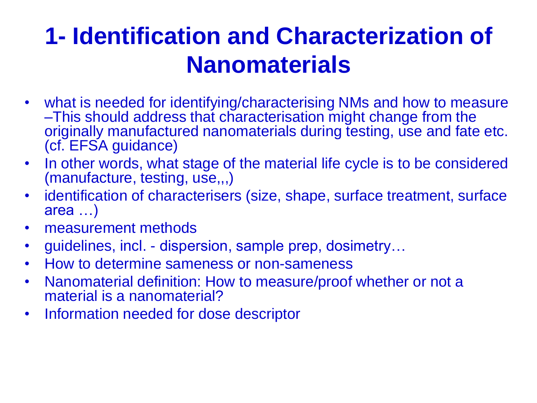### **1- Identification and Characterization of Nanomaterials**

- what is needed for identifying/characterising NMs and how to measure –This should address that characterisation might change from the originally manufactured nanomaterials during testing, use and fate etc. (cf. EFSA guidance)
- In other words, what stage of the material life cycle is to be considered (manufacture, testing, use,,,)
- identification of characterisers (size, shape, surface treatment, surface area …)
- measurement methods
- guidelines, incl. dispersion, sample prep, dosimetry...
- How to determine sameness or non-sameness
- Nanomaterial definition: How to measure/proof whether or not a material is a nanomaterial?
- Information needed for dose descriptor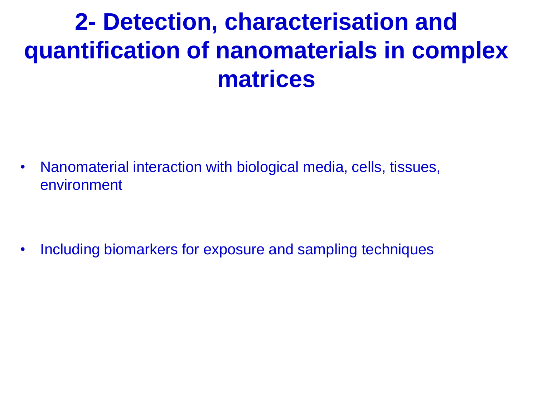#### **2- Detection, characterisation and quantification of nanomaterials in complex matrices**

• Nanomaterial interaction with biological media, cells, tissues, environment

• Including biomarkers for exposure and sampling techniques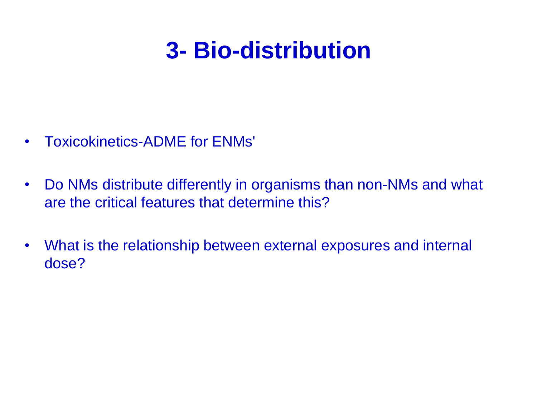#### **3- Bio-distribution**

- Toxicokinetics-ADME for ENMs'
- Do NMs distribute differently in organisms than non-NMs and what are the critical features that determine this?
- What is the relationship between external exposures and internal dose?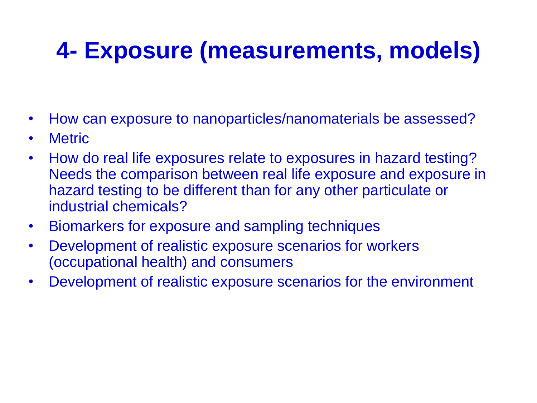## **4- Exposure (measurements, models)**

- How can exposure to nanoparticles/nanomaterials be assessed?
- Metric
- How do real life exposures relate to exposures in hazard testing? Needs the comparison between real life exposure and exposure in hazard testing to be different than for any other particulate or industrial chemicals?
- Biomarkers for exposure and sampling techniques
- Development of realistic exposure scenarios for workers (occupational health) and consumers
- Development of realistic exposure scenarios for the environment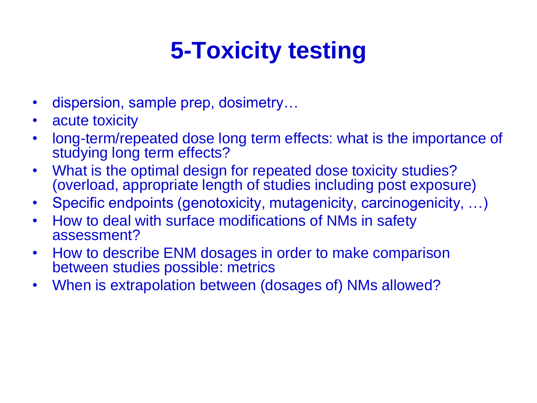## **5-Toxicity testing**

- dispersion, sample prep, dosimetry...
- acute toxicity
- long-term/repeated dose long term effects: what is the importance of studying long term effects?
- What is the optimal design for repeated dose toxicity studies? (overload, appropriate length of studies including post exposure)
- Specific endpoints (genotoxicity, mutagenicity, carcinogenicity, …)
- How to deal with surface modifications of NMs in safety assessment?
- How to describe ENM dosages in order to make comparison between studies possible: metrics
- When is extrapolation between (dosages of) NMs allowed?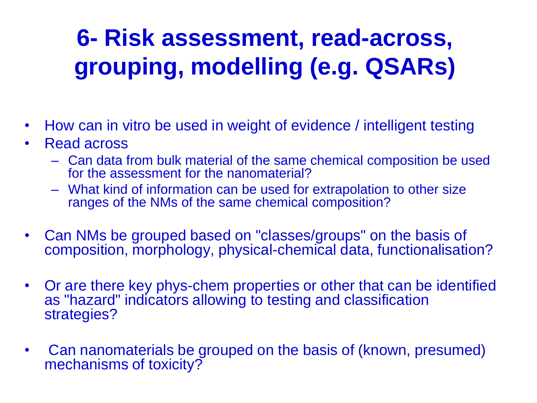## **6- Risk assessment, read-across, grouping, modelling (e.g. QSARs)**

- How can in vitro be used in weight of evidence / intelligent testing
- Read across
	- Can data from bulk material of the same chemical composition be used for the assessment for the nanomaterial?
	- What kind of information can be used for extrapolation to other size ranges of the NMs of the same chemical composition?
- Can NMs be grouped based on "classes/groups" on the basis of composition, morphology, physical-chemical data, functionalisation?
- Or are there key phys-chem properties or other that can be identified as "hazard" indicators allowing to testing and classification strategies?
- Can nanomaterials be grouped on the basis of (known, presumed) mechanisms of toxicity?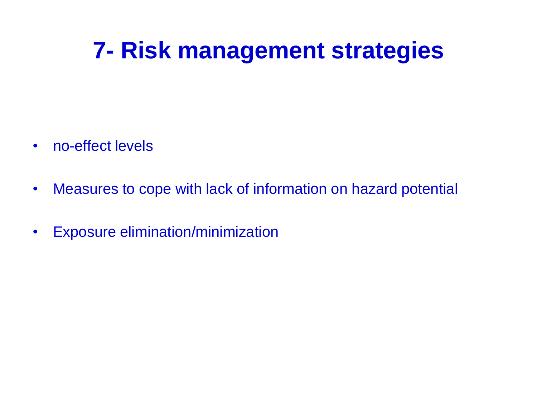#### **7- Risk management strategies**

- no-effect levels
- Measures to cope with lack of information on hazard potential
- Exposure elimination/minimization